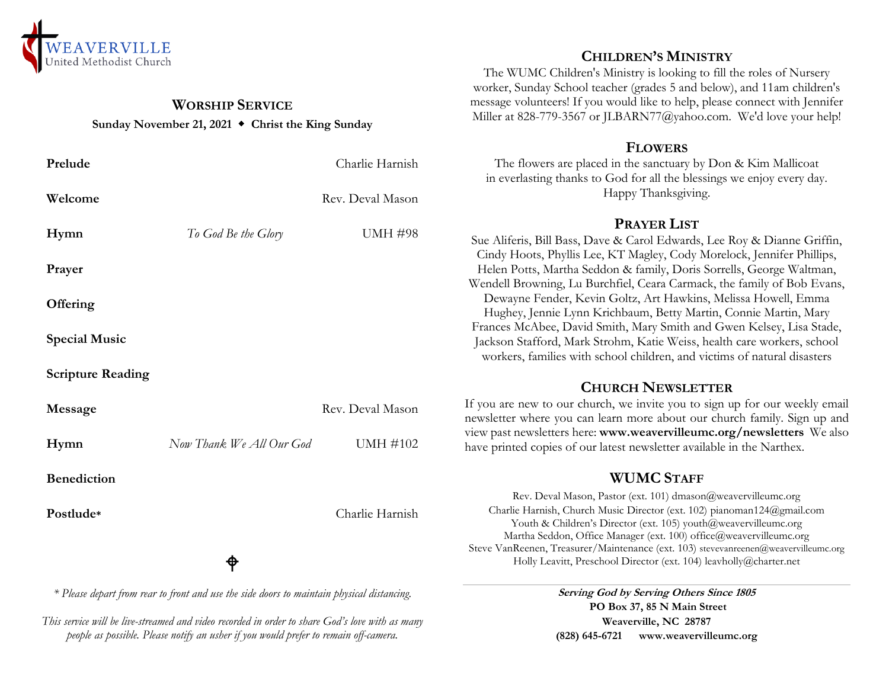

## **WORSHIP SERVICE Sunday November 21, 2021 Christ the King Sunday**

| Prelude                                                                                    |                          | Charlie Harnish  | The flowers are placed in the sanctuary by Don & Kim Mallicoat<br>in everlasting thanks to God for all the blessings we enjoy every day.                                                                                                                                                                                                                                      |
|--------------------------------------------------------------------------------------------|--------------------------|------------------|-------------------------------------------------------------------------------------------------------------------------------------------------------------------------------------------------------------------------------------------------------------------------------------------------------------------------------------------------------------------------------|
| Welcome                                                                                    |                          | Rev. Deval Mason | Happy Thanksgiving.                                                                                                                                                                                                                                                                                                                                                           |
| Hymn                                                                                       | To God Be the Glory      | <b>UMH #98</b>   | <b>PRAYER LIST</b>                                                                                                                                                                                                                                                                                                                                                            |
|                                                                                            |                          |                  | Sue Aliferis, Bill Bass, Dave & Carol Edwards, Lee Roy & Dianne Griffin,<br>Cindy Hoots, Phyllis Lee, KT Magley, Cody Morelock, Jennifer Phillips,                                                                                                                                                                                                                            |
| Prayer                                                                                     |                          |                  | Helen Potts, Martha Seddon & family, Doris Sorrells, George Waltman,                                                                                                                                                                                                                                                                                                          |
| Offering                                                                                   |                          |                  | Wendell Browning, Lu Burchfiel, Ceara Carmack, the family of Bob Evans,<br>Dewayne Fender, Kevin Goltz, Art Hawkins, Melissa Howell, Emma                                                                                                                                                                                                                                     |
|                                                                                            |                          |                  | Hughey, Jennie Lynn Krichbaum, Betty Martin, Connie Martin, Mary<br>Frances McAbee, David Smith, Mary Smith and Gwen Kelsey, Lisa Stade,                                                                                                                                                                                                                                      |
| <b>Special Music</b>                                                                       |                          |                  | Jackson Stafford, Mark Strohm, Katie Weiss, health care workers, school<br>workers, families with school children, and victims of natural disasters                                                                                                                                                                                                                           |
| <b>Scripture Reading</b>                                                                   |                          |                  |                                                                                                                                                                                                                                                                                                                                                                               |
|                                                                                            |                          |                  | <b>CHURCH NEWSLETTER</b>                                                                                                                                                                                                                                                                                                                                                      |
| Message                                                                                    |                          | Rev. Deval Mason | If you are new to our church, we invite you to sign up for our weekly email<br>newsletter where you can learn more about our church family. Sign up and                                                                                                                                                                                                                       |
| Hymn                                                                                       | Now Thank We All Our God | <b>UMH #102</b>  | view past newsletters here: www.weavervilleumc.org/newsletters We also<br>have printed copies of our latest newsletter available in the Narthex.                                                                                                                                                                                                                              |
| <b>Benediction</b>                                                                         |                          |                  | <b>WUMC STAFF</b>                                                                                                                                                                                                                                                                                                                                                             |
|                                                                                            |                          |                  | Rev. Deval Mason, Pastor (ext. 101) dmason@weavervilleumc.org                                                                                                                                                                                                                                                                                                                 |
| Postlude*                                                                                  | ♦                        | Charlie Harnish  | Charlie Harnish, Church Music Director (ext. 102) pianoman124@gmail.com<br>Youth & Children's Director (ext. 105) youth@weavervilleumc.org<br>Martha Seddon, Office Manager (ext. 100) office@weavervilleumc.org<br>Steve VanReenen, Treasurer/Maintenance (ext. 103) stevevanreenen@weavervilleumc.org<br>Holly Leavitt, Preschool Director (ext. 104) leavholly@charter.net |
|                                                                                            |                          |                  |                                                                                                                                                                                                                                                                                                                                                                               |
| * Please depart from rear to front and use the side doors to maintain physical distancing. |                          |                  | Serving God by Serving Others Since 1805                                                                                                                                                                                                                                                                                                                                      |

*This service will be live-streamed and video recorded in order to share God's love with as many people as possible. Please notify an usher if you would prefer to remain off-camera.*

# **CHILDREN'S MINISTRY**

The WUMC Children's Ministry is looking to fill the roles of Nursery worker, Sunday School teacher (grades 5 and below), and 11am children's message volunteers! If you would like to help, please connect with Jennifer Miller at 828-779-3567 or JLBARN77@yahoo.com. We'd love your help!

### **FLOWERS**

**Serving God by Serving Others Since 1805 PO Box 37, 85 N Main Street Weaverville, NC 28787 (828) 645-6721 [www.weavervilleumc.org](http://www.weavervilleumc.org/)**